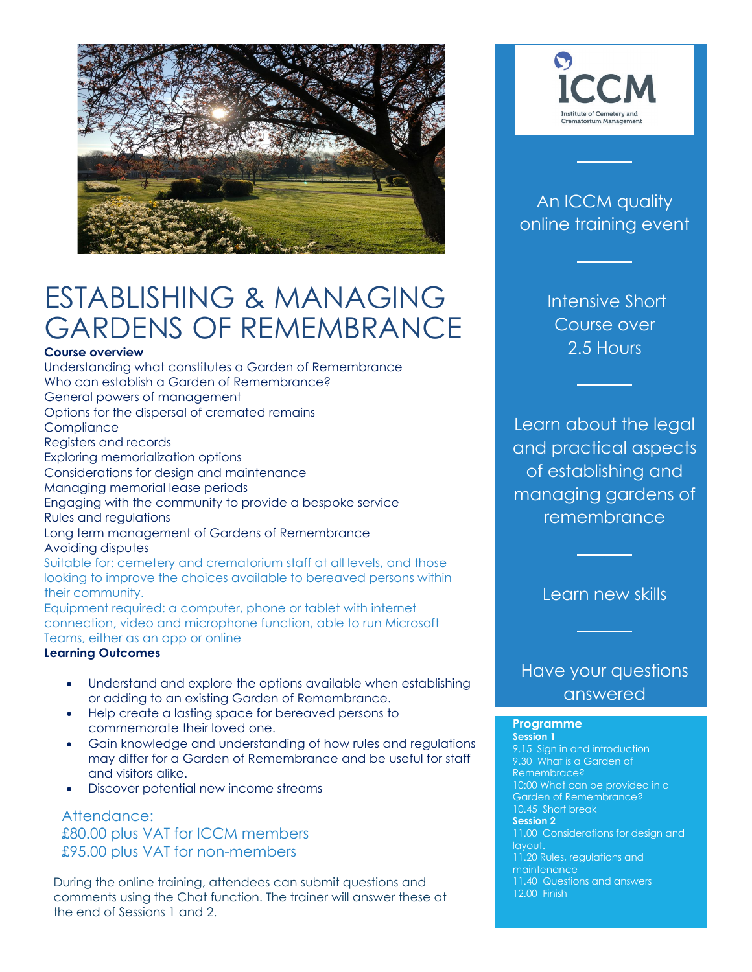

# ESTABLISHING & MANAGING GARDENS OF REMEMBRANCE

#### **Course overview**

Understanding what constitutes a Garden of Remembrance Who can establish a Garden of Remembrance? General powers of management Options for the dispersal of cremated remains **Compliance** Registers and records Exploring memorialization options Considerations for design and maintenance Managing memorial lease periods Engaging with the community to provide a bespoke service Rules and regulations Long term management of Gardens of Remembrance Avoiding disputes Suitable for: cemetery and crematorium staff at all levels, and those looking to improve the choices available to bereaved persons within their community. Equipment required: a computer, phone or tablet with internet

connection, video and microphone function, able to run Microsoft Teams, either as an app or online

#### **Learning Outcomes**

- Understand and explore the options available when establishing or adding to an existing Garden of Remembrance.
- Help create a lasting space for bereaved persons to commemorate their loved one.
- Gain knowledge and understanding of how rules and regulations may differ for a Garden of Remembrance and be useful for staff and visitors alike.
- Discover potential new income streams

Attendance: £80.00 plus VAT for ICCM members £95.00 plus VAT for non-members

During the online training, attendees can submit questions and comments using the Chat function. The trainer will answer these at the end of Sessions 1 and 2.



### An ICCM quality online training event

Intensive Short Course over 2.5 Hours

Learn about the legal and practical aspects of establishing and managing gardens of remembrance

Learn new skills

### Have your questions answered

### **Programme**

**Session 1**  9.15 Sign in and introduction 9.30 What is a Garden of Remembrace? 10:00 What can be provided in a Garden of Remembrance? 10.45 Short break **Session 2**  11.00 Considerations for design and layout. 11.20 Rules, regulations and maintenance 11.40 Questions and answers 12.00 Finish